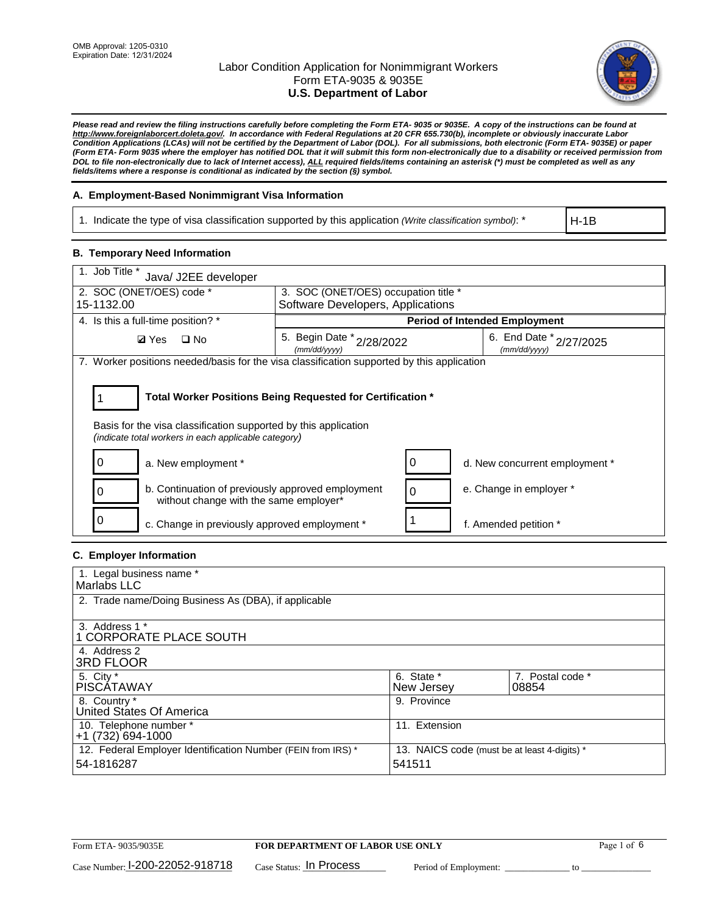

*Please read and review the filing instructions carefully before completing the Form ETA- 9035 or 9035E. A copy of the instructions can be found at http://www.foreignlaborcert.doleta.gov/. In accordance with Federal Regulations at 20 CFR 655.730(b), incomplete or obviously inaccurate Labor Condition Applications (LCAs) will not be certified by the Department of Labor (DOL). For all submissions, both electronic (Form ETA- 9035E) or paper (Form ETA- Form 9035 where the employer has notified DOL that it will submit this form non-electronically due to a disability or received permission from DOL to file non-electronically due to lack of Internet access), ALL required fields/items containing an asterisk (\*) must be completed as well as any fields/items where a response is conditional as indicated by the section (§) symbol.* 

### **A. Employment-Based Nonimmigrant Visa Information**

1. Indicate the type of visa classification supported by this application *(Write classification symbol)*: \*

H-1B

#### **B. Temporary Need Information**

| 1. Job Title *<br>Java/ J2EE developer                                                                                                                                                |                                           |   |                                         |  |  |
|---------------------------------------------------------------------------------------------------------------------------------------------------------------------------------------|-------------------------------------------|---|-----------------------------------------|--|--|
| 2. SOC (ONET/OES) code *<br>3. SOC (ONET/OES) occupation title *                                                                                                                      |                                           |   |                                         |  |  |
| 15-1132.00                                                                                                                                                                            | Software Developers, Applications         |   |                                         |  |  |
| 4. Is this a full-time position? *                                                                                                                                                    |                                           |   | <b>Period of Intended Employment</b>    |  |  |
| $\square$ No<br><b>Ø</b> Yes                                                                                                                                                          | 5. Begin Date * 2/28/2022<br>(mm/dd/yyyy) |   | 6. End Date * 2/27/2025<br>(mm/dd/yyyy) |  |  |
| 7. Worker positions needed/basis for the visa classification supported by this application                                                                                            |                                           |   |                                         |  |  |
| Total Worker Positions Being Requested for Certification *<br>Basis for the visa classification supported by this application<br>(indicate total workers in each applicable category) |                                           |   |                                         |  |  |
| a. New employment *                                                                                                                                                                   |                                           |   | d. New concurrent employment *          |  |  |
| b. Continuation of previously approved employment<br>without change with the same employer*                                                                                           |                                           | 0 | e. Change in employer *                 |  |  |
| 0<br>c. Change in previously approved employment *                                                                                                                                    |                                           |   | f. Amended petition *                   |  |  |

### **C. Employer Information**

| 1. Legal business name *                                                   |                                                        |                           |
|----------------------------------------------------------------------------|--------------------------------------------------------|---------------------------|
| Marlabs LLC                                                                |                                                        |                           |
| 2. Trade name/Doing Business As (DBA), if applicable                       |                                                        |                           |
| 3. Address 1 *<br>1 CORPORATE PLACE SOUTH<br>4. Address 2                  |                                                        |                           |
| <b>3RD FLOOR</b>                                                           |                                                        |                           |
| 5. City *<br><b>PISCÁTAWAY</b>                                             | 6. State *<br>New Jersey                               | 7. Postal code *<br>08854 |
| 8. Country *<br>United States Of America                                   | 9. Province                                            |                           |
| 10. Telephone number *<br>$+1(732)694-1000$                                | 11. Extension                                          |                           |
| 12. Federal Employer Identification Number (FEIN from IRS) *<br>54-1816287 | 13. NAICS code (must be at least 4-digits) *<br>541511 |                           |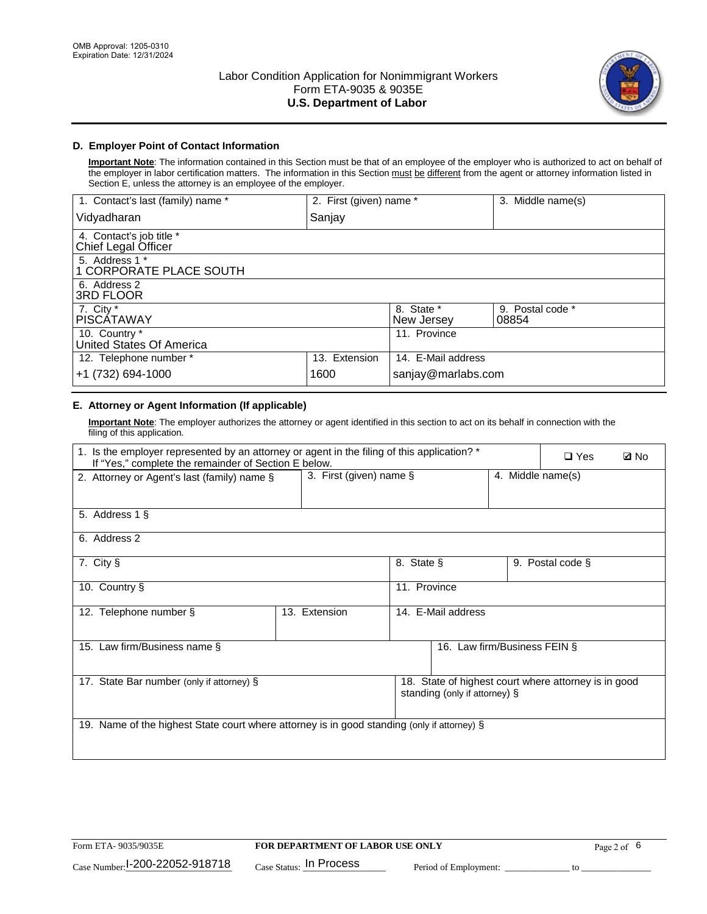

## **D. Employer Point of Contact Information**

**Important Note**: The information contained in this Section must be that of an employee of the employer who is authorized to act on behalf of the employer in labor certification matters. The information in this Section must be different from the agent or attorney information listed in Section E, unless the attorney is an employee of the employer.

| 1. Contact's last (family) name *               | 2. First (given) name * |                          | 3. Middle name(s)         |
|-------------------------------------------------|-------------------------|--------------------------|---------------------------|
| Vidyadharan                                     | Sanjay                  |                          |                           |
| 4. Contact's job title *<br>Chief Legal Officer |                         |                          |                           |
| 5. Address 1 *<br>1 CORPORATE PLACE SOUTH       |                         |                          |                           |
| 6. Address 2<br><b>3RD FLOOR</b>                |                         |                          |                           |
| 7. City *<br><b>PISCÁTAWAY</b>                  |                         | 8. State *<br>New Jersey | 9. Postal code *<br>08854 |
| 10. Country *<br>United States Of America       |                         | 11. Province             |                           |
| 12. Telephone number *                          | 13. Extension           | 14. E-Mail address       |                           |
| +1 (732) 694-1000                               | 1600                    | sanjay@marlabs.com       |                           |

# **E. Attorney or Agent Information (If applicable)**

**Important Note**: The employer authorizes the attorney or agent identified in this section to act on its behalf in connection with the filing of this application.

| 1. Is the employer represented by an attorney or agent in the filing of this application? *<br>If "Yes," complete the remainder of Section E below. |                         |              |                               |                   | $\Box$ Yes                                           | <b>ØNo</b> |
|-----------------------------------------------------------------------------------------------------------------------------------------------------|-------------------------|--------------|-------------------------------|-------------------|------------------------------------------------------|------------|
| 2. Attorney or Agent's last (family) name §                                                                                                         | 3. First (given) name § |              |                               | 4. Middle name(s) |                                                      |            |
| 5. Address 1 §                                                                                                                                      |                         |              |                               |                   |                                                      |            |
| 6. Address 2                                                                                                                                        |                         |              |                               |                   |                                                      |            |
| 7. City §                                                                                                                                           |                         | 8. State §   |                               |                   | 9. Postal code §                                     |            |
| 10. Country §                                                                                                                                       |                         | 11. Province |                               |                   |                                                      |            |
| 12. Telephone number §                                                                                                                              | 13. Extension           |              | 14. E-Mail address            |                   |                                                      |            |
| 15. Law firm/Business name §                                                                                                                        |                         |              | 16. Law firm/Business FEIN §  |                   |                                                      |            |
| 17. State Bar number (only if attorney) §                                                                                                           |                         |              | standing (only if attorney) § |                   | 18. State of highest court where attorney is in good |            |
| 19. Name of the highest State court where attorney is in good standing (only if attorney) §                                                         |                         |              |                               |                   |                                                      |            |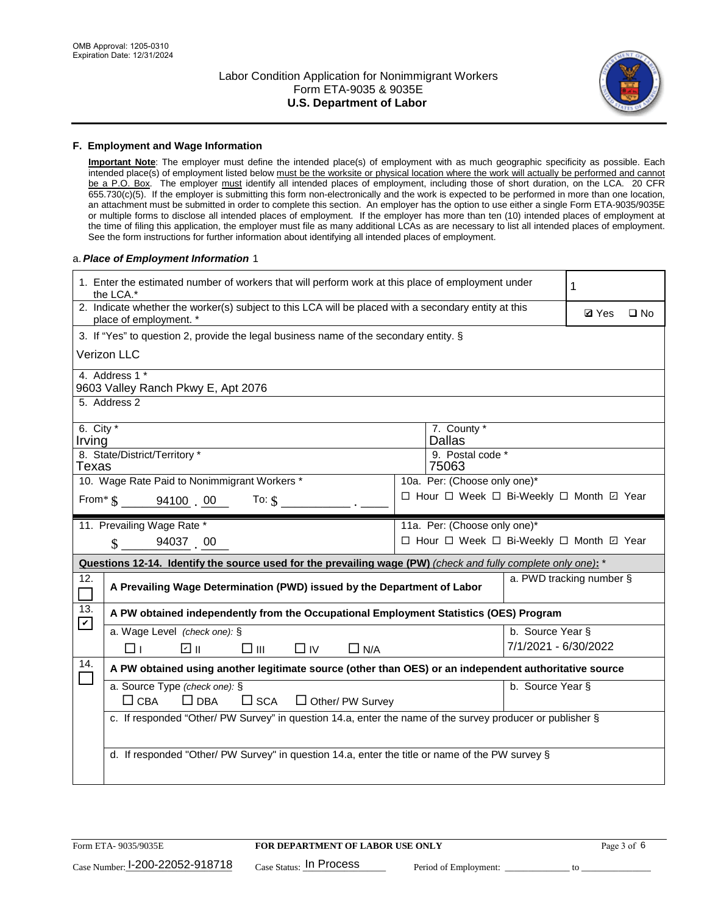

#### **F. Employment and Wage Information**

**Important Note**: The employer must define the intended place(s) of employment with as much geographic specificity as possible. Each intended place(s) of employment listed below must be the worksite or physical location where the work will actually be performed and cannot be a P.O. Box. The employer must identify all intended places of employment, including those of short duration, on the LCA. 20 CFR 655.730(c)(5). If the employer is submitting this form non-electronically and the work is expected to be performed in more than one location, an attachment must be submitted in order to complete this section. An employer has the option to use either a single Form ETA-9035/9035E or multiple forms to disclose all intended places of employment. If the employer has more than ten (10) intended places of employment at the time of filing this application, the employer must file as many additional LCAs as are necessary to list all intended places of employment. See the form instructions for further information about identifying all intended places of employment.

#### a.*Place of Employment Information* 1

|                                                                              | 1. Enter the estimated number of workers that will perform work at this place of employment under<br>the LCA.*                 |  | 1                                        |                      |                          |  |  |  |
|------------------------------------------------------------------------------|--------------------------------------------------------------------------------------------------------------------------------|--|------------------------------------------|----------------------|--------------------------|--|--|--|
|                                                                              | 2. Indicate whether the worker(s) subject to this LCA will be placed with a secondary entity at this<br>place of employment. * |  | <b>Ø</b> Yes                             | $\square$ No         |                          |  |  |  |
|                                                                              | 3. If "Yes" to question 2, provide the legal business name of the secondary entity. §                                          |  |                                          |                      |                          |  |  |  |
|                                                                              | Verizon LLC                                                                                                                    |  |                                          |                      |                          |  |  |  |
|                                                                              | 4. Address 1 *<br>9603 Valley Ranch Pkwy E, Apt 2076                                                                           |  |                                          |                      |                          |  |  |  |
|                                                                              | 5. Address 2                                                                                                                   |  |                                          |                      |                          |  |  |  |
| Irving                                                                       | 6. City $*$<br>7. County *<br><b>Dallas</b>                                                                                    |  |                                          |                      |                          |  |  |  |
|                                                                              | 8. State/District/Territory *<br>9. Postal code *<br>75063<br>Texas                                                            |  |                                          |                      |                          |  |  |  |
| 10. Wage Rate Paid to Nonimmigrant Workers *<br>10a. Per: (Choose only one)* |                                                                                                                                |  |                                          |                      |                          |  |  |  |
|                                                                              | □ Hour □ Week □ Bi-Weekly □ Month ☑ Year<br>From* \$ 94100 00<br>To: $$$                                                       |  |                                          |                      |                          |  |  |  |
|                                                                              | 11. Prevailing Wage Rate *<br>11a. Per: (Choose only one)*                                                                     |  |                                          |                      |                          |  |  |  |
|                                                                              | 94037 00<br>$\mathbf{\hat{S}}$                                                                                                 |  | □ Hour □ Week □ Bi-Weekly □ Month ☑ Year |                      |                          |  |  |  |
|                                                                              | Questions 12-14. Identify the source used for the prevailing wage (PW) (check and fully complete only one): *                  |  |                                          |                      |                          |  |  |  |
| 12.                                                                          | A Prevailing Wage Determination (PWD) issued by the Department of Labor                                                        |  |                                          |                      | a. PWD tracking number § |  |  |  |
| 13.                                                                          | A PW obtained independently from the Occupational Employment Statistics (OES) Program                                          |  |                                          |                      |                          |  |  |  |
| $\mathbf v$                                                                  | a. Wage Level (check one): §                                                                                                   |  |                                          | b. Source Year §     |                          |  |  |  |
|                                                                              | ☑ ⊪<br>$\square$ $\square$<br>$\Box$ IV<br>$\Box$ N/A<br>□⊥                                                                    |  |                                          | 7/1/2021 - 6/30/2022 |                          |  |  |  |
| 14.                                                                          | A PW obtained using another legitimate source (other than OES) or an independent authoritative source                          |  |                                          |                      |                          |  |  |  |
|                                                                              | a. Source Type (check one): §<br>b. Source Year §<br>$\Box$ CBA<br>$\Box$ DBA<br>$\square$ SCA<br>$\Box$ Other/ PW Survey      |  |                                          |                      |                          |  |  |  |
|                                                                              | c. If responded "Other/ PW Survey" in question 14.a, enter the name of the survey producer or publisher §                      |  |                                          |                      |                          |  |  |  |
|                                                                              | d. If responded "Other/ PW Survey" in question 14.a, enter the title or name of the PW survey §                                |  |                                          |                      |                          |  |  |  |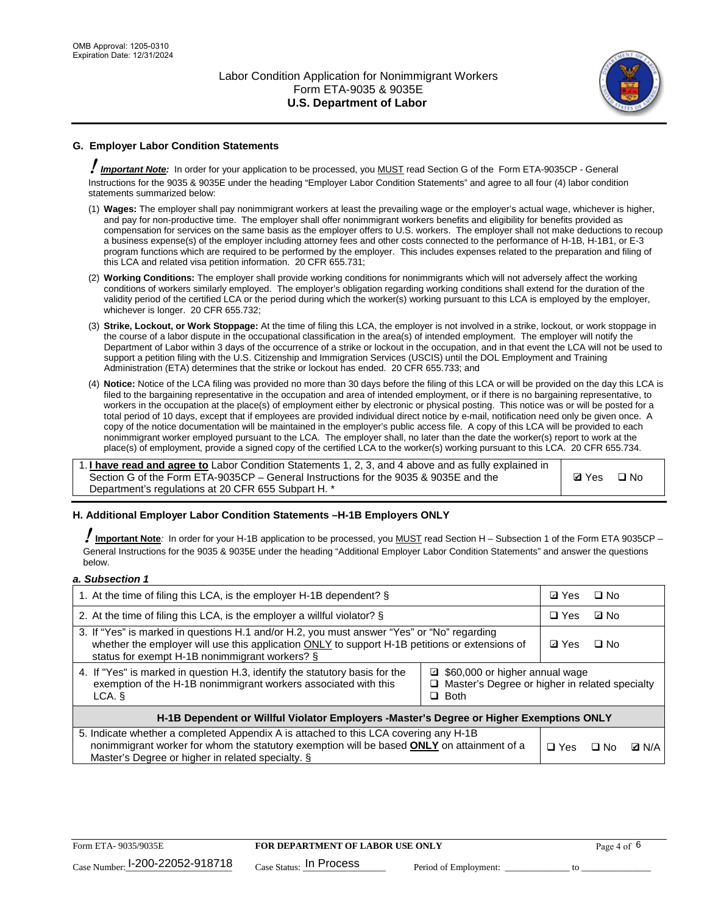

# **G. Employer Labor Condition Statements**

! *Important Note:* In order for your application to be processed, you MUST read Section G of the Form ETA-9035CP - General Instructions for the 9035 & 9035E under the heading "Employer Labor Condition Statements" and agree to all four (4) labor condition statements summarized below:

- (1) **Wages:** The employer shall pay nonimmigrant workers at least the prevailing wage or the employer's actual wage, whichever is higher, and pay for non-productive time. The employer shall offer nonimmigrant workers benefits and eligibility for benefits provided as compensation for services on the same basis as the employer offers to U.S. workers. The employer shall not make deductions to recoup a business expense(s) of the employer including attorney fees and other costs connected to the performance of H-1B, H-1B1, or E-3 program functions which are required to be performed by the employer. This includes expenses related to the preparation and filing of this LCA and related visa petition information. 20 CFR 655.731;
- (2) **Working Conditions:** The employer shall provide working conditions for nonimmigrants which will not adversely affect the working conditions of workers similarly employed. The employer's obligation regarding working conditions shall extend for the duration of the validity period of the certified LCA or the period during which the worker(s) working pursuant to this LCA is employed by the employer, whichever is longer. 20 CFR 655.732;
- (3) **Strike, Lockout, or Work Stoppage:** At the time of filing this LCA, the employer is not involved in a strike, lockout, or work stoppage in the course of a labor dispute in the occupational classification in the area(s) of intended employment. The employer will notify the Department of Labor within 3 days of the occurrence of a strike or lockout in the occupation, and in that event the LCA will not be used to support a petition filing with the U.S. Citizenship and Immigration Services (USCIS) until the DOL Employment and Training Administration (ETA) determines that the strike or lockout has ended. 20 CFR 655.733; and
- (4) **Notice:** Notice of the LCA filing was provided no more than 30 days before the filing of this LCA or will be provided on the day this LCA is filed to the bargaining representative in the occupation and area of intended employment, or if there is no bargaining representative, to workers in the occupation at the place(s) of employment either by electronic or physical posting. This notice was or will be posted for a total period of 10 days, except that if employees are provided individual direct notice by e-mail, notification need only be given once. A copy of the notice documentation will be maintained in the employer's public access file. A copy of this LCA will be provided to each nonimmigrant worker employed pursuant to the LCA. The employer shall, no later than the date the worker(s) report to work at the place(s) of employment, provide a signed copy of the certified LCA to the worker(s) working pursuant to this LCA. 20 CFR 655.734.

1. **I have read and agree to** Labor Condition Statements 1, 2, 3, and 4 above and as fully explained in Section G of the Form ETA-9035CP – General Instructions for the 9035 & 9035E and the Department's regulations at 20 CFR 655 Subpart H. \*

**Ø**Yes ロNo

### **H. Additional Employer Labor Condition Statements –H-1B Employers ONLY**

!**Important Note***:* In order for your H-1B application to be processed, you MUST read Section H – Subsection 1 of the Form ETA 9035CP – General Instructions for the 9035 & 9035E under the heading "Additional Employer Labor Condition Statements" and answer the questions below.

#### *a. Subsection 1*

| 1. At the time of filing this LCA, is the employer H-1B dependent? §                                                                                                                                                                                          | ⊡ Yes      | □ No |              |  |  |
|---------------------------------------------------------------------------------------------------------------------------------------------------------------------------------------------------------------------------------------------------------------|------------|------|--------------|--|--|
| 2. At the time of filing this LCA, is the employer a willful violator? $\S$                                                                                                                                                                                   |            |      | ⊡ No         |  |  |
| 3. If "Yes" is marked in questions H.1 and/or H.2, you must answer "Yes" or "No" regarding<br>whether the employer will use this application ONLY to support H-1B petitions or extensions of<br>status for exempt H-1B nonimmigrant workers? §                |            |      | $\Box$ No    |  |  |
| 4. If "Yes" is marked in question H.3, identify the statutory basis for the<br>■ \$60,000 or higher annual wage<br>exemption of the H-1B nonimmigrant workers associated with this<br>□ Master's Degree or higher in related specialty<br>$\Box$ Both<br>LCA. |            |      |              |  |  |
| H-1B Dependent or Willful Violator Employers -Master's Degree or Higher Exemptions ONLY                                                                                                                                                                       |            |      |              |  |  |
| 5. Indicate whether a completed Appendix A is attached to this LCA covering any H-1B<br>nonimmigrant worker for whom the statutory exemption will be based <b>ONLY</b> on attainment of a<br>Master's Degree or higher in related specialty. §                | $\Box$ Yes | ⊡ No | <b>Q</b> N/A |  |  |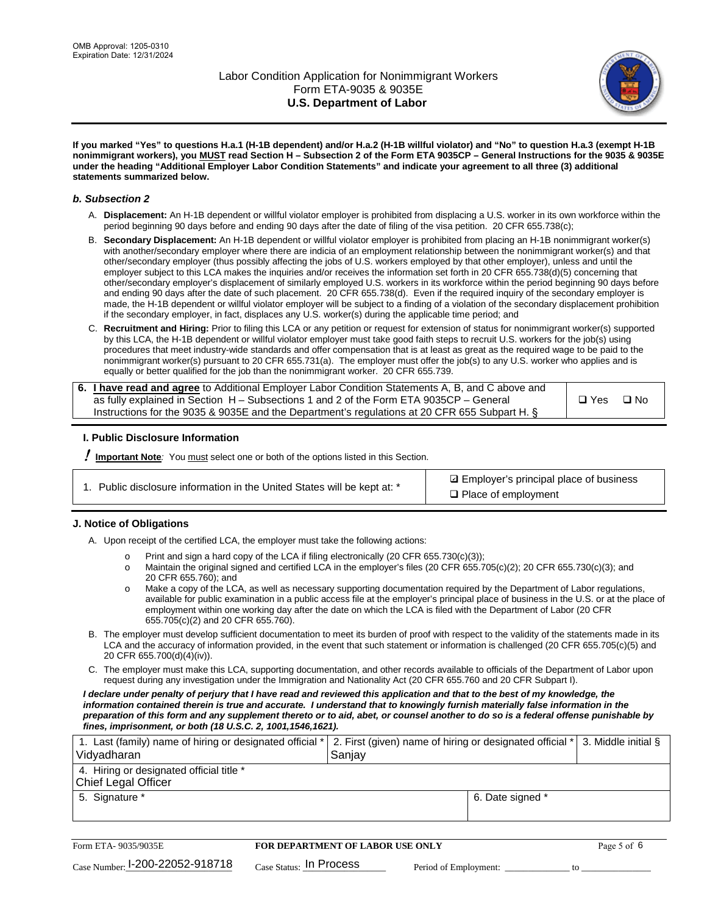

**If you marked "Yes" to questions H.a.1 (H-1B dependent) and/or H.a.2 (H-1B willful violator) and "No" to question H.a.3 (exempt H-1B nonimmigrant workers), you MUST read Section H – Subsection 2 of the Form ETA 9035CP – General Instructions for the 9035 & 9035E under the heading "Additional Employer Labor Condition Statements" and indicate your agreement to all three (3) additional statements summarized below.**

#### *b. Subsection 2*

- A. **Displacement:** An H-1B dependent or willful violator employer is prohibited from displacing a U.S. worker in its own workforce within the period beginning 90 days before and ending 90 days after the date of filing of the visa petition. 20 CFR 655.738(c);
- B. **Secondary Displacement:** An H-1B dependent or willful violator employer is prohibited from placing an H-1B nonimmigrant worker(s) with another/secondary employer where there are indicia of an employment relationship between the nonimmigrant worker(s) and that other/secondary employer (thus possibly affecting the jobs of U.S. workers employed by that other employer), unless and until the employer subject to this LCA makes the inquiries and/or receives the information set forth in 20 CFR 655.738(d)(5) concerning that other/secondary employer's displacement of similarly employed U.S. workers in its workforce within the period beginning 90 days before and ending 90 days after the date of such placement. 20 CFR 655.738(d). Even if the required inquiry of the secondary employer is made, the H-1B dependent or willful violator employer will be subject to a finding of a violation of the secondary displacement prohibition if the secondary employer, in fact, displaces any U.S. worker(s) during the applicable time period; and
- C. **Recruitment and Hiring:** Prior to filing this LCA or any petition or request for extension of status for nonimmigrant worker(s) supported by this LCA, the H-1B dependent or willful violator employer must take good faith steps to recruit U.S. workers for the job(s) using procedures that meet industry-wide standards and offer compensation that is at least as great as the required wage to be paid to the nonimmigrant worker(s) pursuant to 20 CFR 655.731(a). The employer must offer the job(s) to any U.S. worker who applies and is equally or better qualified for the job than the nonimmigrant worker. 20 CFR 655.739.

| 6. I have read and agree to Additional Employer Labor Condition Statements A, B, and C above and |       |           |
|--------------------------------------------------------------------------------------------------|-------|-----------|
| as fully explained in Section H – Subsections 1 and 2 of the Form ETA 9035CP – General           | □ Yes | $\Box$ No |
| Instructions for the 9035 & 9035E and the Department's regulations at 20 CFR 655 Subpart H. §    |       |           |

### **I. Public Disclosure Information**

! **Important Note***:* You must select one or both of the options listed in this Section.

| 1. Public disclosure information in the United States will be kept at: * |  |  |  |  |  |  |  |
|--------------------------------------------------------------------------|--|--|--|--|--|--|--|
|--------------------------------------------------------------------------|--|--|--|--|--|--|--|

**sqrt** Employer's principal place of business □ Place of employment

### **J. Notice of Obligations**

A. Upon receipt of the certified LCA, the employer must take the following actions:

- o Print and sign a hard copy of the LCA if filing electronically (20 CFR 655.730(c)(3));<br>
Maintain the original signed and certified LCA in the employer's files (20 CFR 655.7
- Maintain the original signed and certified LCA in the employer's files (20 CFR 655.705(c)(2); 20 CFR 655.730(c)(3); and 20 CFR 655.760); and
- o Make a copy of the LCA, as well as necessary supporting documentation required by the Department of Labor regulations, available for public examination in a public access file at the employer's principal place of business in the U.S. or at the place of employment within one working day after the date on which the LCA is filed with the Department of Labor (20 CFR 655.705(c)(2) and 20 CFR 655.760).
- B. The employer must develop sufficient documentation to meet its burden of proof with respect to the validity of the statements made in its LCA and the accuracy of information provided, in the event that such statement or information is challenged (20 CFR 655.705(c)(5) and 20 CFR 655.700(d)(4)(iv)).
- C. The employer must make this LCA, supporting documentation, and other records available to officials of the Department of Labor upon request during any investigation under the Immigration and Nationality Act (20 CFR 655.760 and 20 CFR Subpart I).

*I declare under penalty of perjury that I have read and reviewed this application and that to the best of my knowledge, the*  information contained therein is true and accurate. I understand that to knowingly furnish materially false information in the *preparation of this form and any supplement thereto or to aid, abet, or counsel another to do so is a federal offense punishable by fines, imprisonment, or both (18 U.S.C. 2, 1001,1546,1621).*

| 1. Last (family) name of hiring or designated official *   2. First (given) name of hiring or designated official *   3. Middle initial §<br>Vidyadharan | Saniav           |  |
|----------------------------------------------------------------------------------------------------------------------------------------------------------|------------------|--|
| 4. Hiring or designated official title *<br>Chief Legal Officer                                                                                          |                  |  |
| 5. Signature *                                                                                                                                           | 6. Date signed * |  |

| Form ETA-9035/9035E                         | <b>FOR DEPARTMENT OF LABOR USE ONLY</b> | Page 5 of 6           |  |
|---------------------------------------------|-----------------------------------------|-----------------------|--|
| $_{\text{Case Number:}}$ I-200-22052-918718 | $_{\rm Case~S status:}$ In Process      | Period of Employment: |  |